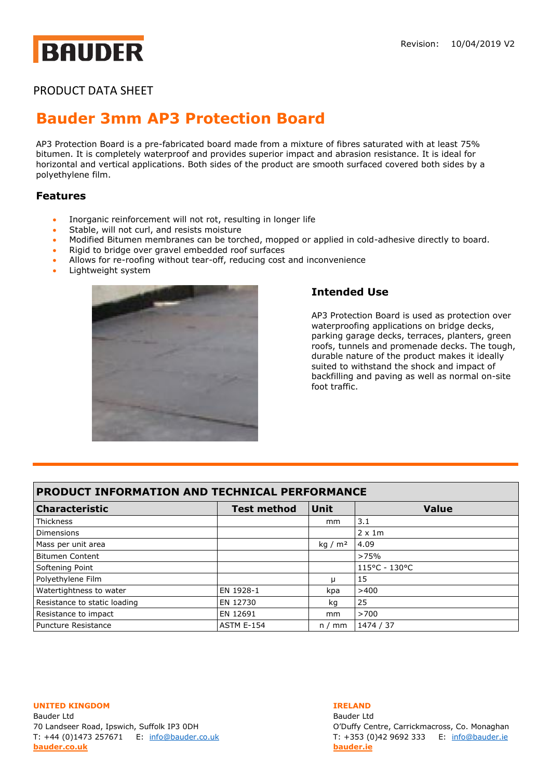# **BAUDER**

### PRODUCT DATA SHEET

## **Bauder 3mm [AP3 Protection Board](https://www.bauder.co.uk/technical-centre/products/hot-melt/ap3)**

AP3 Protection Board is a pre-fabricated board made from a mixture of fibres saturated with at least 75% bitumen. It is completely waterproof and provides superior impact and abrasion resistance. It is ideal for horizontal and vertical applications. Both sides of the product are smooth surfaced covered both sides by a polyethylene film.

### **Features**

- Inorganic reinforcement will not rot, resulting in longer life
- Stable, will not curl, and resists moisture
- Modified Bitumen membranes can be torched, mopped or applied in cold-adhesive directly to board.
- Rigid to bridge over gravel embedded roof surfaces
- Allows for re-roofing without tear-off, reducing cost and inconvenience
- Lightweight system



### **Intended Use**

AP3 Protection Board is used as protection over waterproofing applications on bridge decks, parking garage decks, terraces, planters, green roofs, tunnels and promenade decks. The tough, durable nature of the product makes it ideally suited to withstand the shock and impact of backfilling and paving as well as normal on-site foot traffic.

| PRODUCT INFORMATION AND TECHNICAL PERFORMANCE |                    |           |                |
|-----------------------------------------------|--------------------|-----------|----------------|
| <b>Characteristic</b>                         | <b>Test method</b> | Unit      | <b>Value</b>   |
| Thickness                                     |                    | mm        | 3.1            |
| <b>Dimensions</b>                             |                    |           | $2 \times 1$ m |
| Mass per unit area                            |                    | kg / $m2$ | 4.09           |
| <b>Bitumen Content</b>                        |                    |           | >75%           |
| Softening Point                               |                    |           | 115°C - 130°C  |
| Polyethylene Film                             |                    | п         | 15             |
| Watertightness to water                       | EN 1928-1          | kpa       | >400           |
| Resistance to static loading                  | EN 12730           | kq        | 25             |
| Resistance to impact                          | EN 12691           | mm        | >700           |
| Puncture Resistance                           | <b>ASTM E-154</b>  | n/mm      | 1474 / 37      |

**UNITED KINGDOM IRELAND**

Bauder Ltd Bauder Ltd 70 Landseer Road, Ipswich, Suffolk IP3 0DH O'Duffy Centre, Carrickmacross, Co. Monaghan T: +44 (0)1473 257671 E: [info@bauder.co.uk](mailto:info@bauder.co.uk) T: +353 (0)42 9692 333 E: [info@bauder.ie](mailto:info@bauder.ie) **[bauder.co.uk](http://www.bauder.co.uk/) [bauder.ie](http://www.bauder.ie/)**